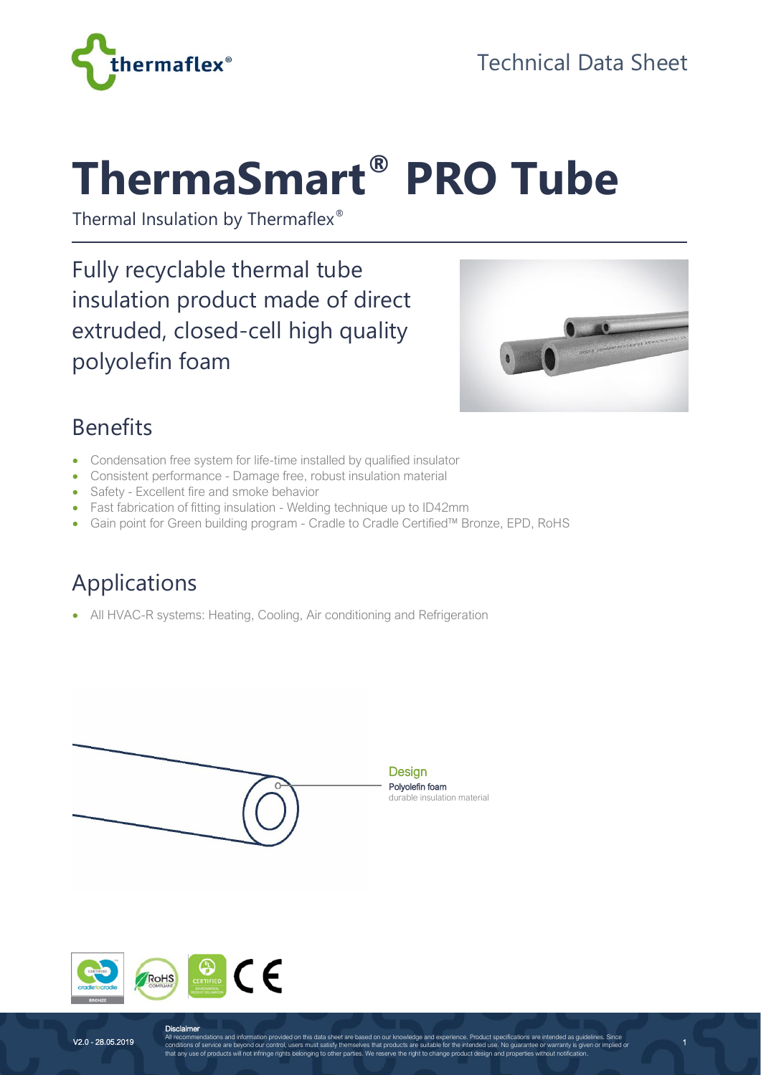

# **ThermaSmart® PRO Tube**

Thermal Insulation by Thermaflex®

Fully recyclable thermal tube insulation product made of direct extruded, closed-cell high quality polyolefin foam



1

#### Benefits

- Condensation free system for life-time installed by qualified insulator
- Consistent performance Damage free, robust insulation material
- Safety Excellent fire and smoke behavior
- Fast fabrication of fitting insulation Welding technique up to ID42mm
- Gain point for Green building program Cradle to Cradle Certified™ Bronze, EPD, RoHS

## Applications

• All HVAC-R systems: Heating, Cooling, Air conditioning and Refrigeration





**Disclaimer**